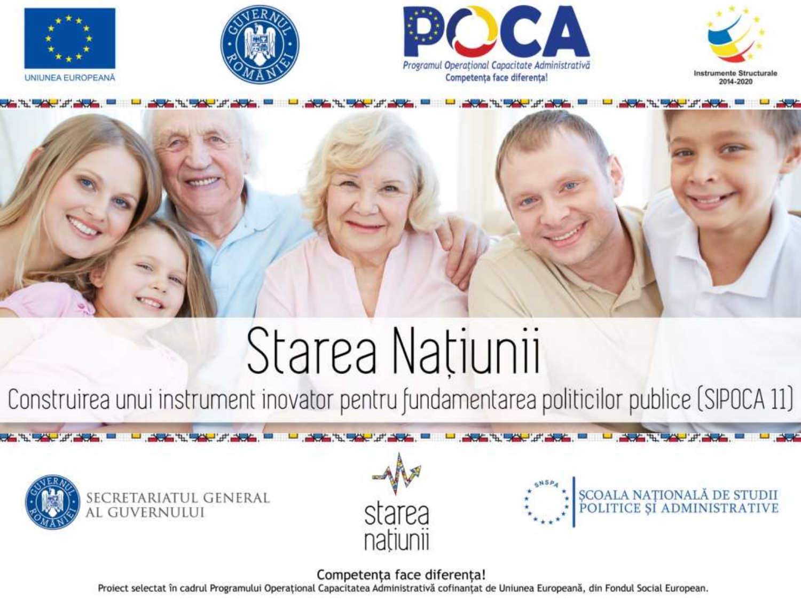









# Starea Națiunii

Construirea unui instrument inovator pentru fundamentarea politicilor publice (SIPOCA 11)







#### Competența face diferența!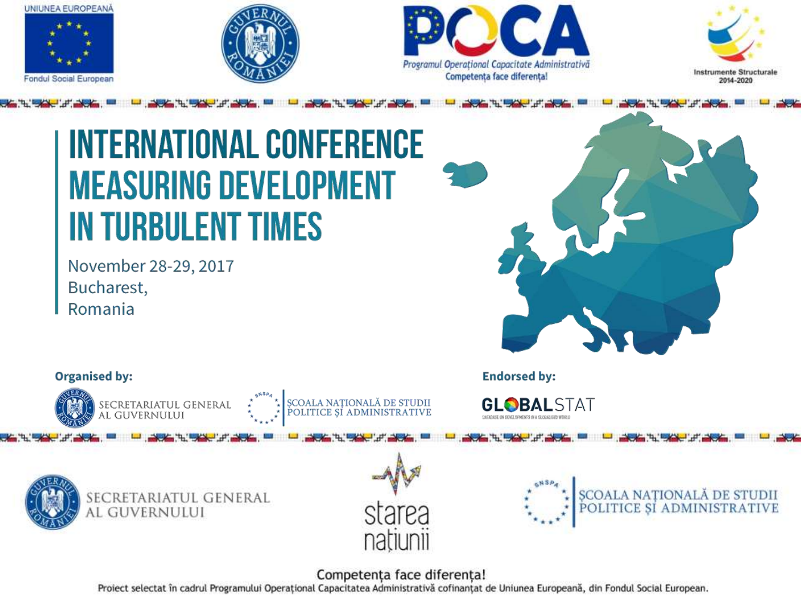UNIUNEA EUROPEANA









# **INTERNATIONAL CONFERENCE MEASURING DEVELOPMENT IN TURBULENT TIMES**

November 28-29, 2017 Bucharest, Romania

SECRETARIATUL GENERAL<br>AL GUVERNULUI

**Organised by:** 



**Endorsed by:** 

GLOBALSTAT TATARASE ON DEVELOPMENTS IN A 52 DRALISED WOR





ȘCOALA NAȚIONALĂ DE<br>POLITICE ȘI ADMINISTI



#### Competența face diferența!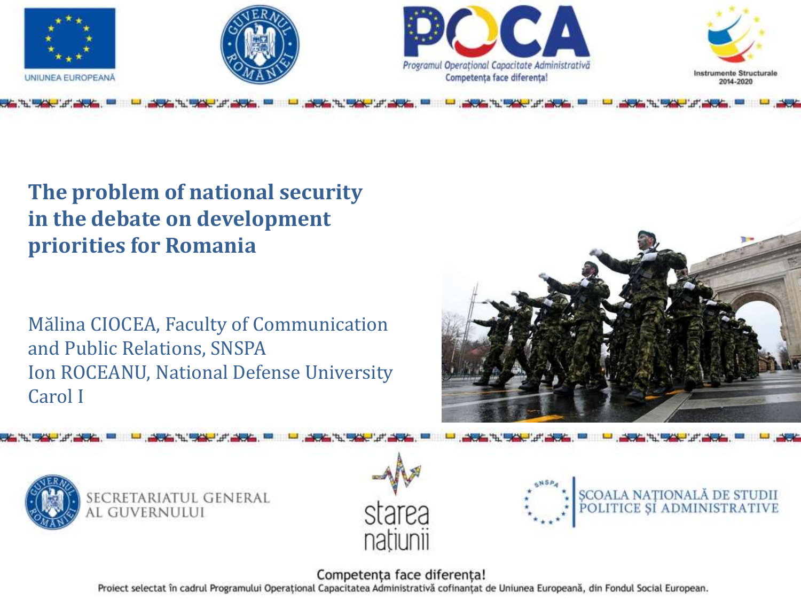







# **The problem of national security in the debate on development priorities for Romania**

Mălina CIOCEA, Faculty of Communication and Public Relations, SNSPA Ion ROCEANU, National Defense University Carol I









#### Competența face diferența!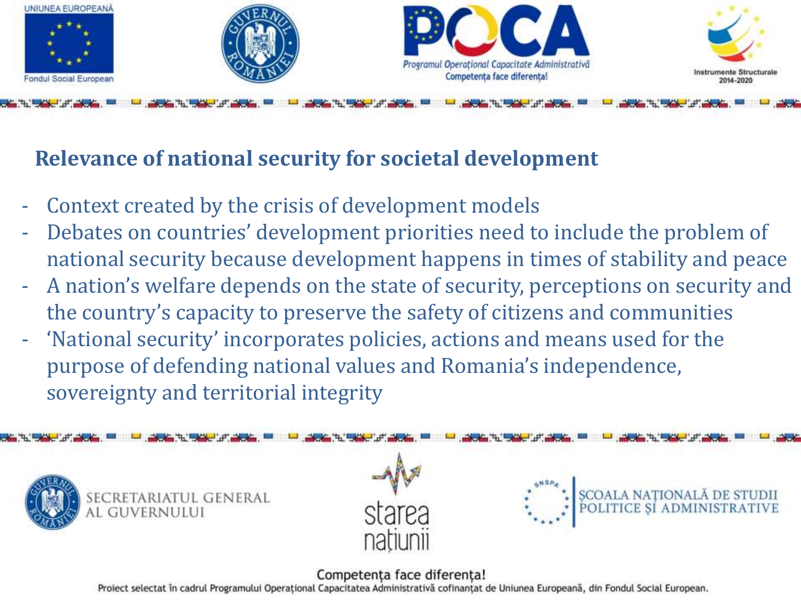

# **Relevance of national security for societal development**

- Context created by the crisis of development models
- Debates on countries' development priorities need to include the problem of national security because development happens in times of stability and peace
- A nation's welfare depends on the state of security, perceptions on security and the country's capacity to preserve the safety of citizens and communities
- 'National security' incorporates policies, actions and means used for the purpose of defending national values and Romania's independence, sovereignty and territorial integrity





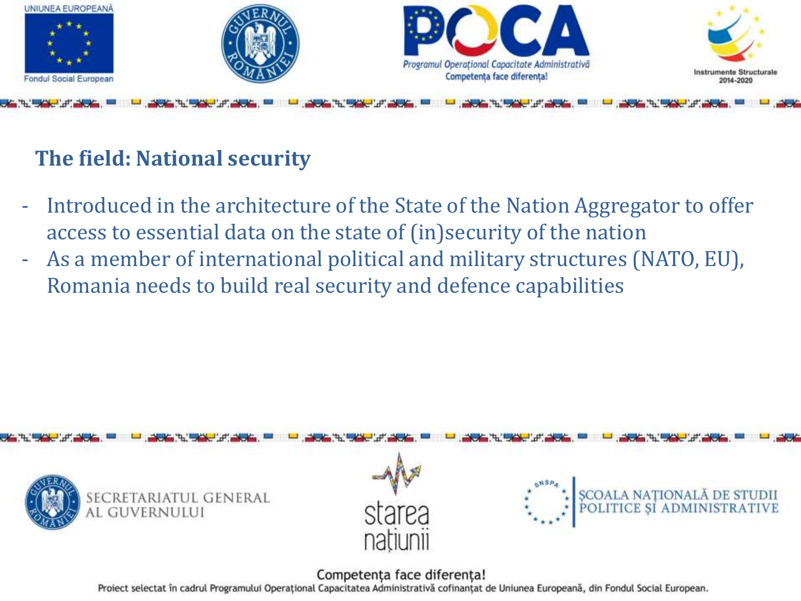

# **The field: National security**

- Introduced in the architecture of the State of the Nation Aggregator to offer access to essential data on the state of (in)security of the nation
- As a member of international political and military structures (NATO, EU), Romania needs to build real security and defence capabilities

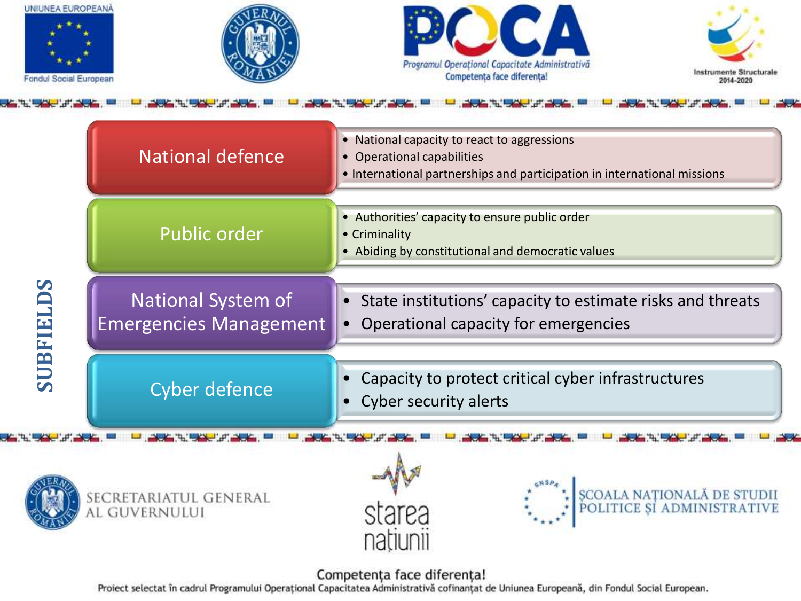UNIUNEA EUROPEANĂ



The Party of the Party

್



ъ.

**PACK OF** 



**A Service Service Control** 



×

| SUBFIELDS | <b>National defence</b>                                    | • National capacity to react to aggressions<br>• Operational capabilities<br>• International partnerships and participation in international missions |
|-----------|------------------------------------------------------------|-------------------------------------------------------------------------------------------------------------------------------------------------------|
|           | <b>Public order</b>                                        | • Authorities' capacity to ensure public order<br>• Criminality<br>• Abiding by constitutional and democratic values                                  |
|           | <b>National System of</b><br><b>Emergencies Management</b> | • State institutions' capacity to estimate risks and threats<br>Operational capacity for emergencies                                                  |
|           | <b>Cyber defence</b>                                       | Capacity to protect critical cyber infrastructures<br>Cyber security alerts                                                                           |
|           | SECRETARIATUL GENERAL<br>AL GUVERNULUI                     | SCOALA NATIONALĂ DE STUDII<br>POLITICE ȘI ADMINISTRATIVE                                                                                              |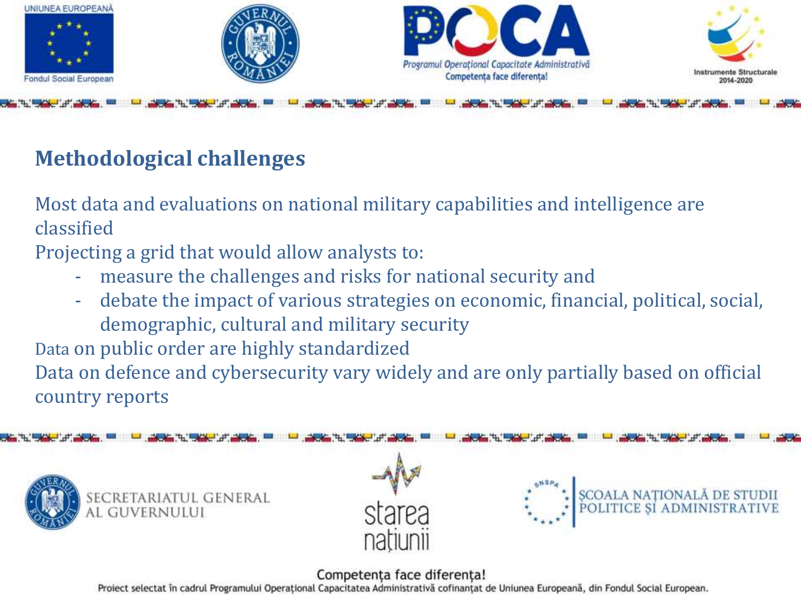

# **Methodological challenges**

Most data and evaluations on national military capabilities and intelligence are classified

Projecting a grid that would allow analysts to:

- measure the challenges and risks for national security and
- debate the impact of various strategies on economic, financial, political, social, demographic, cultural and military security

Data on public order are highly standardized

Data on defence and cybersecurity vary widely and are only partially based on official country reports







### Competenta face diferenta!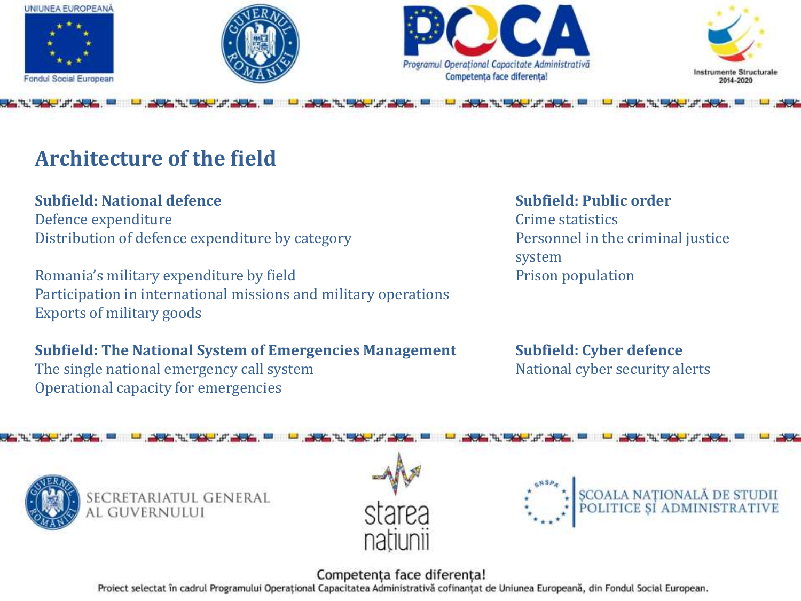







# **Architecture of the field**

### **Subfield: National defence Subfield: Public order**

Defence expenditure Crime statistics Distribution of defence expenditure by category **Personnel** in the criminal justice

Romania's military expenditure by field Prison population Participation in international missions and military operations Exports of military goods

#### **Subfield: The National System of Emergencies Management Subfield: Cyber defence** The single national emergency call system National cyber security alerts

Operational capacity for emergencies

system







#### Competența face diferența!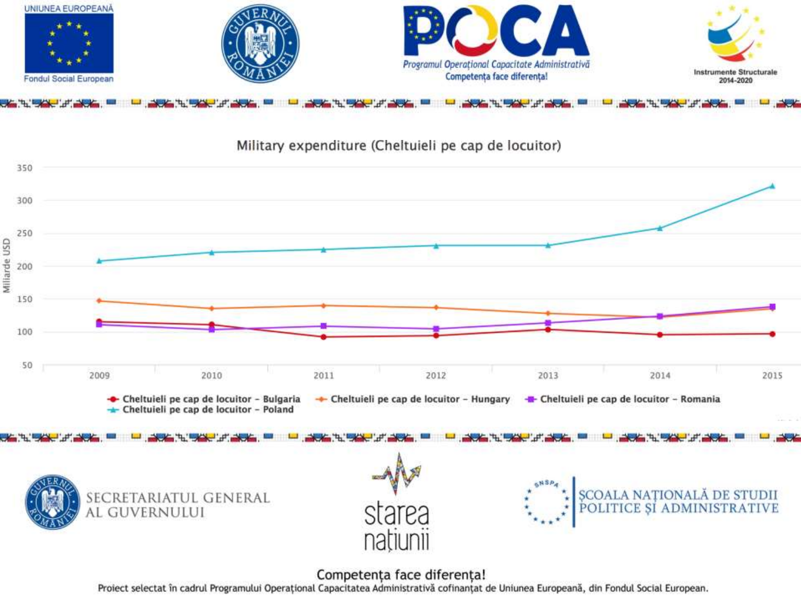

#### Military expenditure (Cheltuieli pe cap de locuitor)



Competența face diferența!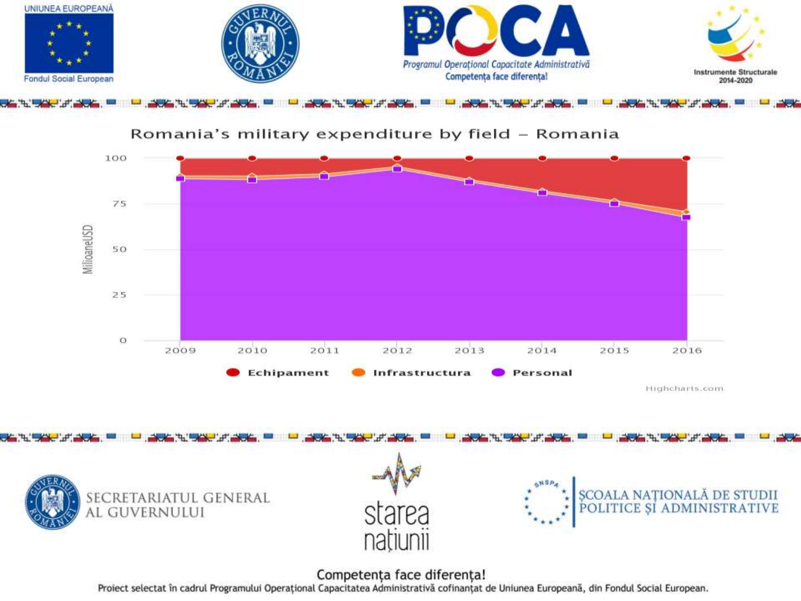

Romania's military expenditure by field - Romania





#### Competența face diferența!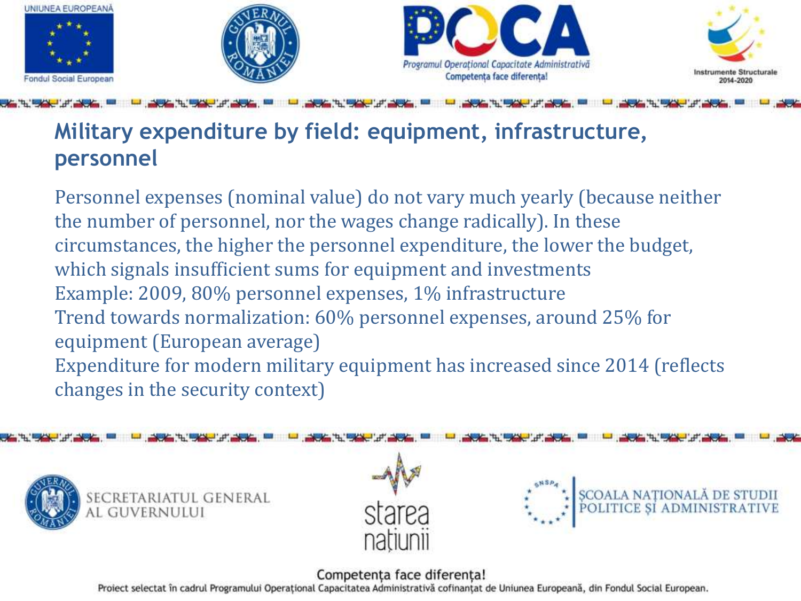







# **Military expenditure by field: equipment, infrastructure, personnel**

Personnel expenses (nominal value) do not vary much yearly (because neither the number of personnel, nor the wages change radically). In these circumstances, the higher the personnel expenditure, the lower the budget, which signals insufficient sums for equipment and investments Example: 2009, 80% personnel expenses, 1% infrastructure Trend towards normalization: 60% personnel expenses, around 25% for equipment (European average) Expenditure for modern military equipment has increased since 2014 (reflects changes in the security context)







## Competenta face diferenta!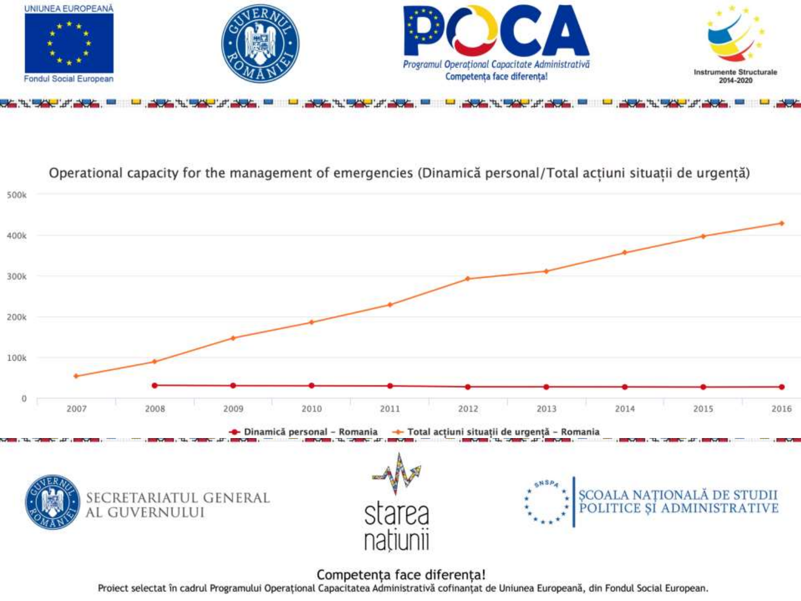

#### Operational capacity for the management of emergencies (Dinamică personal/Total actiuni situatii de urgentă)



#### Competența face diferența!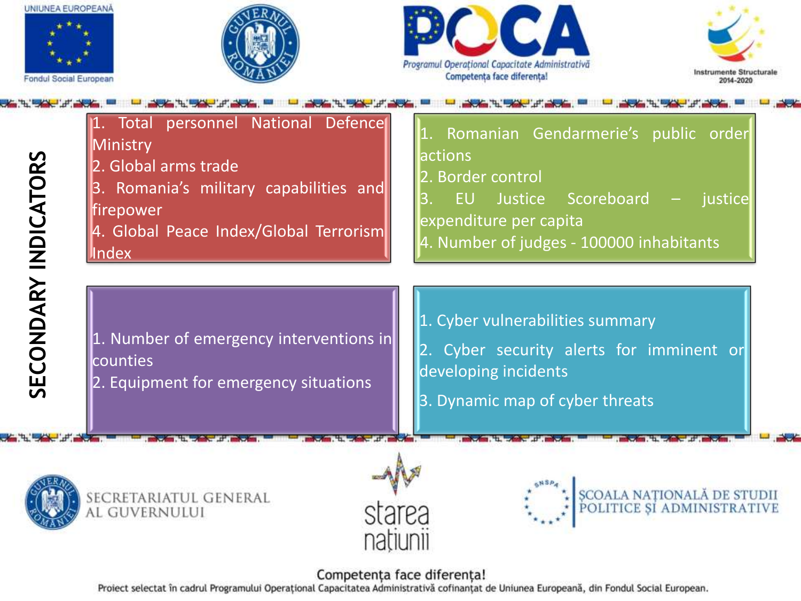UNIUNEA EUROPEANĂ









|            | ET SAVIS ALLE DE ROLLAND DE L'ANGULATION DE LA ROLLAND DE LA                                                                                                                      |
|------------|-----------------------------------------------------------------------------------------------------------------------------------------------------------------------------------|
| INDICATORS | 1. Total personnel National Defence<br>Ministry<br>2. Global arms trade<br>3. Romania's military capabilities and<br>firepower<br>4. Global Peace Index/Global Terrorism<br>Index |
| SECONDARY  | 1. Number of emergency interventions in<br>counties<br>2. Equipment for emergency situations                                                                                      |

1. Romanian Gendarmerie's public order **lactions** 2. Border control 3. EU Justice Scoreboard – justice expenditure per capita 4. Number of judges - 100000 inhabitants

1. Cyber vulnerabilities summary

2. Cyber security alerts for imminent or developing incidents

3. Dynamic map of cyber threats







interventions in



#### Competența face diferența!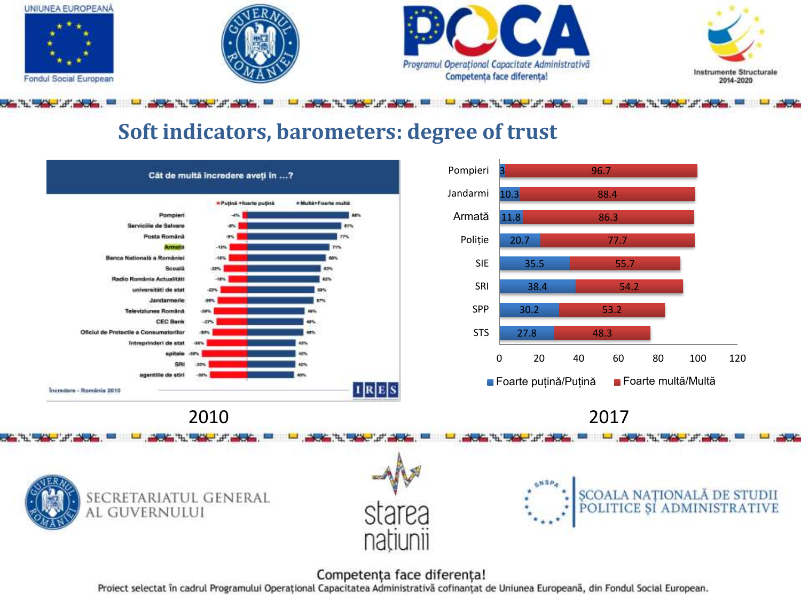



# **Soft indicators, barometers: degree of trust**



Competența face diferența!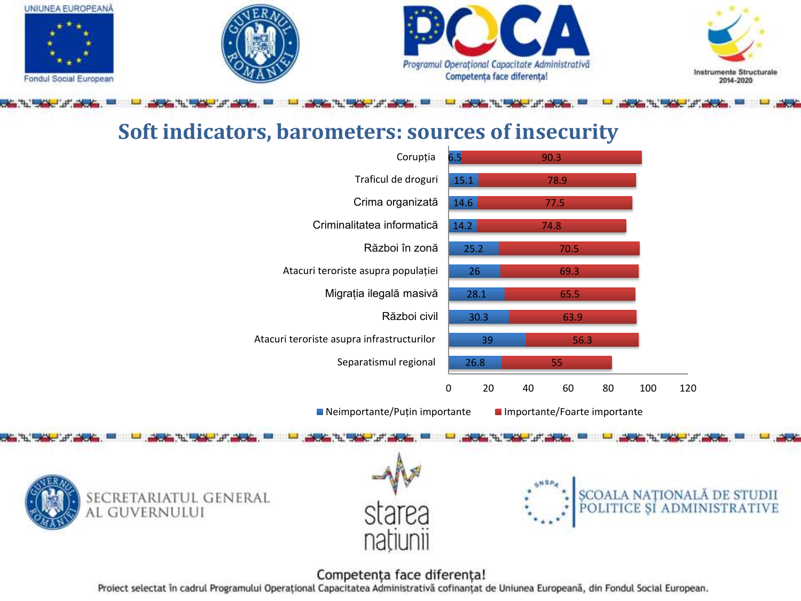









## **Soft indicators, barometers: sources of insecurity**



#### Competența face diferența!